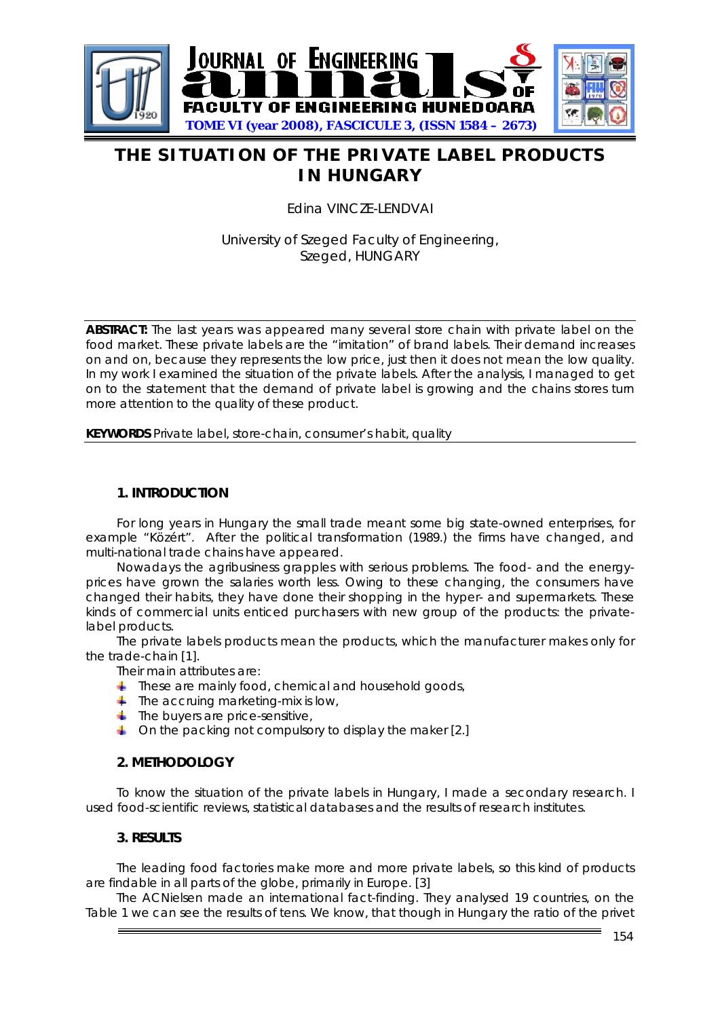

# **THE SITUATION OF THE PRIVATE LABEL PRODUCTS IN HUNGARY**

Edina VINCZE-LENDVAI

## University of Szeged Faculty of Engineering, Szeged, HUNGARY

**ABSTRACT:** The last years was appeared many several store chain with private label on the food market. These private labels are the "imitation" of brand labels. Their demand increases on and on, because they represents the low price, just then it does not mean the low quality. In my work I examined the situation of the private labels. After the analysis, I managed to get on to the statement that the demand of private label is growing and the chains stores turn more attention to the quality of these product.

**KEYWORDS** Private label, store-chain, consumer's habit, quality

#### **1. INTRODUCTION**

For long years in Hungary the small trade meant some big state-owned enterprises, for example "Közért". After the political transformation (1989.) the firms have changed, and multi-national trade chains have appeared.

Nowadays the agribusiness grapples with serious problems. The food- and the energyprices have grown the salaries worth less. Owing to these changing, the consumers have changed their habits, they have done their shopping in the hyper- and supermarkets. These kinds of commercial units enticed purchasers with new group of the products: the privatelabel products.

The private labels products mean the products, which the manufacturer makes only for the trade-chain [1].

Their main attributes are:

- <sup>1</sup> These are mainly food, chemical and household goods,
- $\ddagger$  The accruing marketing-mix is low,
- $\overline{\phantom{a}}$  The buvers are price-sensitive,
- 4 On the packing not compulsory to display the maker [2.]

### **2. METHODOLOGY**

To know the situation of the private labels in Hungary, I made a secondary research. I used food-scientific reviews, statistical databases and the results of research institutes.

#### **3. RESULTS**

The leading food factories make more and more private labels, so this kind of products are findable in all parts of the globe, primarily in Europe. [3]

The ACNielsen made an international fact-finding. They analysed 19 countries, on the Table 1 we can see the results of tens. We know, that though in Hungary the ratio of the privet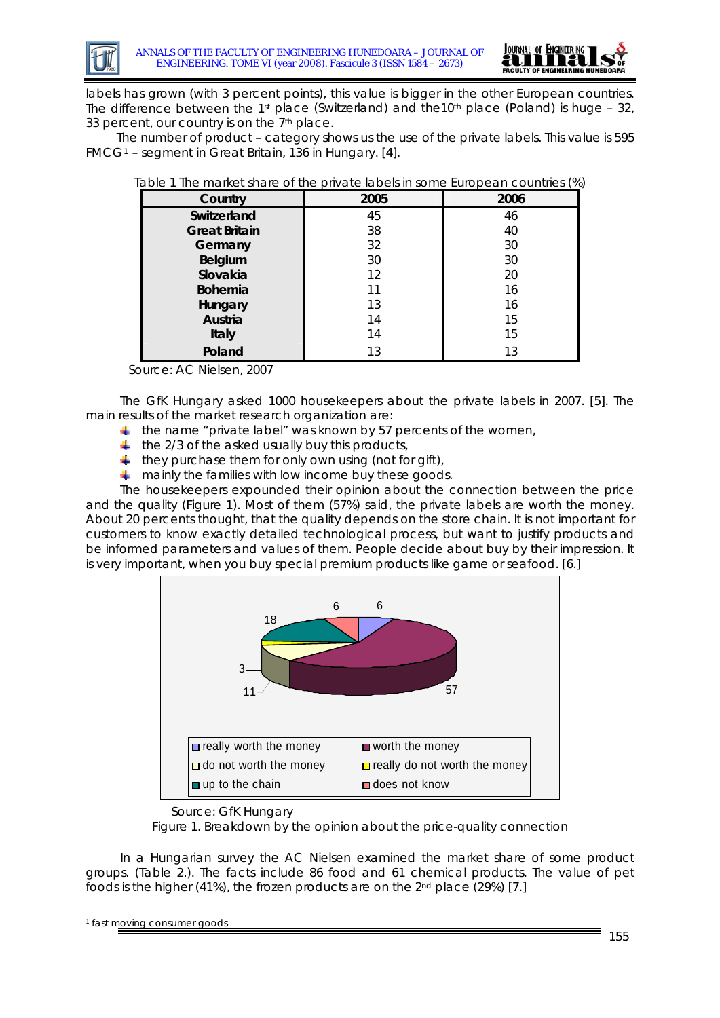



labels has grown (with 3 percent points), this value is bigger in the other European countries. The difference between the 1<sup>st</sup> place (Switzerland) and the10<sup>th</sup> place (Poland) is huge – 32, 33 percent, our country is on the 7<sup>th</sup> place.

The number of product – category shows us the use of the private labels. This value is 595 FMCG[1](#page-1-0) – segment in Great Britain, 136 in Hungary. [4].

| Country              | 2005 | 2006 |
|----------------------|------|------|
| Switzerland          | 45   | 46   |
| <b>Great Britain</b> | 38   | 40   |
| Germany              | 32   | 30   |
| Belgium              | 30   | 30   |
| Slovakia             | 12   | 20   |
| <b>Bohemia</b>       | 11   | 16   |
| Hungary              | 13   | 16   |
| Austria              | 14   | 15   |
| Italy                | 14   | 15   |
| Poland               | 13   | 13   |

|  | Table 1 The market share of the private labels in some European countries (%) |  |
|--|-------------------------------------------------------------------------------|--|
|  |                                                                               |  |

Source: AC Nielsen, 2007

The GfK Hungary asked 1000 housekeepers about the private labels in 2007. [5]. The main results of the market research organization are:

- $\pm$  the name "private label" was known by 57 percents of the women,
- $\ddot{\phantom{1}}$  the 2/3 of the asked usually buy this products,
- $\ddagger$  they purchase them for only own using (not for gift),
- $\pm$  mainly the families with low income buy these goods.

The housekeepers expounded their opinion about the connection between the price and the quality (Figure 1). Most of them (57%) said, the private labels are worth the money. About 20 percents thought, that the quality depends on the store chain. It is not important for customers to know exactly detailed technological process, but want to justify products and be informed parameters and values of them. People decide about buy by their impression. It is very important, when you buy special premium products like game or seafood. [6.]



Source: GfK Hungary

Figure 1. Breakdown by the opinion about the price-quality connection

In a Hungarian survey the AC Nielsen examined the market share of some product groups. (Table 2.). The facts include 86 food and 61 chemical products. The value of pet foods is the higher (41%), the frozen products are on the 2nd place (29%) [7.]

-

<span id="page-1-0"></span><sup>1</sup> fast moving consumer goods